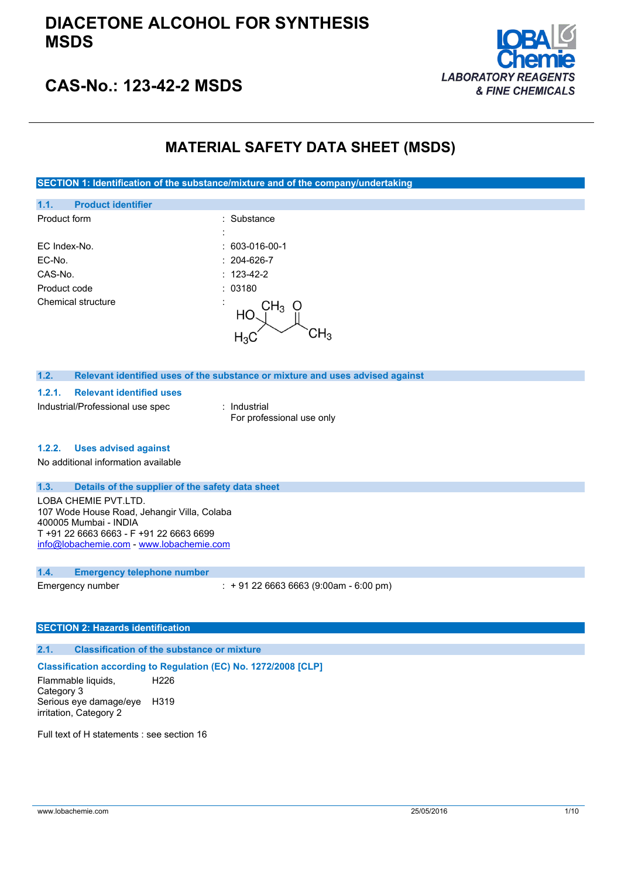

# **CAS-No.: 123-42-2 MSDS**

## **MATERIAL SAFETY DATA SHEET (MSDS)**

**SECTION 1: Identification of the substance/mixture and of the company/undertaking**

| 1.1.<br><b>Product identifier</b> |                      |
|-----------------------------------|----------------------|
| Product form                      | : Substance          |
|                                   |                      |
| EC Index-No.                      | $: 603-016-00-1$     |
| EC-No.                            | $: 204 - 626 - 7$    |
| CAS-No.                           | $: 123 - 42 - 2$     |
| Product code                      | : 03180              |
| Chemical structure                | CH <sub>3</sub><br>Ő |
|                                   | HС                   |
|                                   |                      |
|                                   |                      |

#### **1.2. Relevant identified uses of the substance or mixture and uses advised against**

#### **1.2.1. Relevant identified uses**

Industrial/Professional use spec : Industrial

For professional use only

#### **1.2.2. Uses advised against**

No additional information available

#### **1.3. Details of the supplier of the safety data sheet**

LOBA CHEMIE PVT.LTD. 107 Wode House Road, Jehangir Villa, Colaba 400005 Mumbai - INDIA T +91 22 6663 6663 - F +91 22 6663 6699 [info@lobachemie.com](mailto:info@lobachemie.com) - <www.lobachemie.com>

#### **1.4. Emergency telephone number**

Emergency number : + 91 22 6663 6663 (9:00am - 6:00 pm)

#### **SECTION 2: Hazards identification**

### **2.1. Classification of the substance or mixture**

#### **Classification according to Regulation (EC) No. 1272/2008 [CLP]**

Flammable liquids, Category 3 H226 Serious eye damage/eye H319 irritation, Category 2

Full text of H statements : see section 16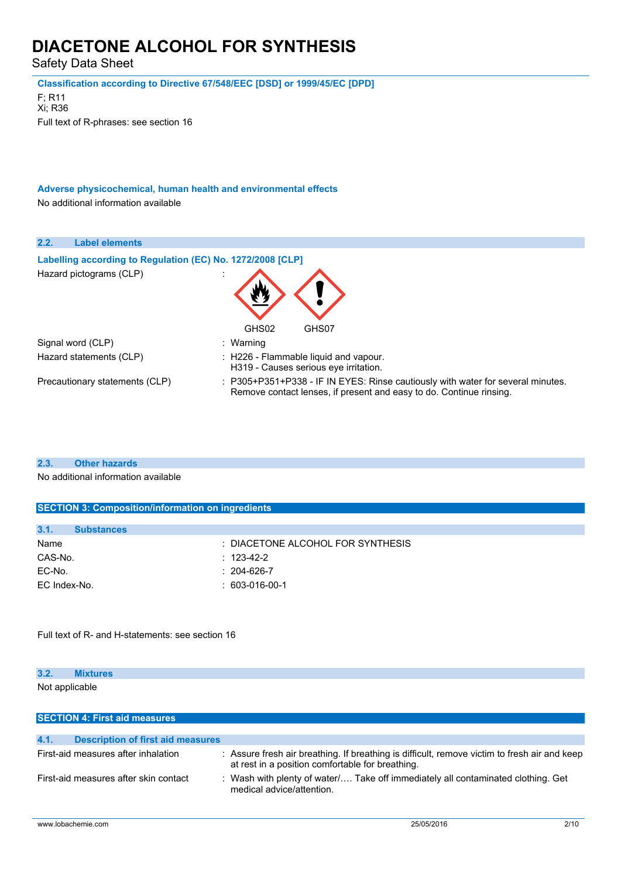Safety Data Sheet

**Classification according to Directive 67/548/EEC [DSD] or 1999/45/EC [DPD]**

F; R11 Xi; R36 Full text of R-phrases: see section 16

**Adverse physicochemical, human health and environmental effects** No additional information available

| 2.2. | <b>Label elements</b>                                      |                                                                                                                                                        |  |  |
|------|------------------------------------------------------------|--------------------------------------------------------------------------------------------------------------------------------------------------------|--|--|
|      | Labelling according to Regulation (EC) No. 1272/2008 [CLP] |                                                                                                                                                        |  |  |
|      | Hazard pictograms (CLP)                                    |                                                                                                                                                        |  |  |
|      |                                                            | GHS02<br>GHS07                                                                                                                                         |  |  |
|      | Signal word (CLP)                                          | : Warning                                                                                                                                              |  |  |
|      | Hazard statements (CLP)                                    | : H226 - Flammable liquid and vapour.<br>H319 - Causes serious eye irritation.                                                                         |  |  |
|      | Precautionary statements (CLP)                             | : P305+P351+P338 - IF IN EYES: Rinse cautiously with water for several minutes.<br>Remove contact lenses, if present and easy to do. Continue rinsing. |  |  |

**2.3. Other hazards**

No additional information available

|         | <b>SECTION 3: Composition/information on ingredients</b> |                                   |  |  |
|---------|----------------------------------------------------------|-----------------------------------|--|--|
|         |                                                          |                                   |  |  |
| 3.1.    | <b>Substances</b>                                        |                                   |  |  |
| Name    |                                                          | : DIACETONE ALCOHOL FOR SYNTHESIS |  |  |
| CAS-No. |                                                          | $: 123 - 42 - 2$                  |  |  |
| EC-No.  |                                                          | $: 204-626-7$                     |  |  |
|         |                                                          |                                   |  |  |

Full text of R- and H-statements: see section 16

EC Index-No. : 603-016-00-1

### **3.2. Mixtures**

Not applicable

| <b>SECTION 4: First aid measures</b>             |                                                                                                                                                  |  |
|--------------------------------------------------|--------------------------------------------------------------------------------------------------------------------------------------------------|--|
|                                                  |                                                                                                                                                  |  |
| 4.1.<br><b>Description of first aid measures</b> |                                                                                                                                                  |  |
| First-aid measures after inhalation              | : Assure fresh air breathing. If breathing is difficult, remove victim to fresh air and keep<br>at rest in a position comfortable for breathing. |  |
| First-aid measures after skin contact            | : Wash with plenty of water/ Take off immediately all contaminated clothing. Get<br>medical advice/attention.                                    |  |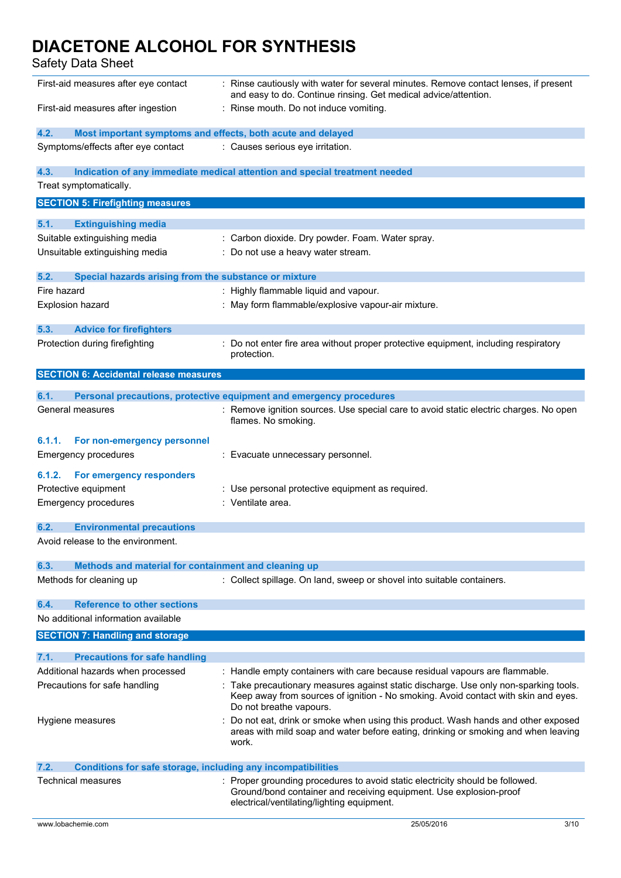Safety Data Sheet

| : Rinse cautiously with water for several minutes. Remove contact lenses, if present<br>First-aid measures after eye contact<br>and easy to do. Continue rinsing. Get medical advice/attention. |                                                                                                                                                                                                 |
|-------------------------------------------------------------------------------------------------------------------------------------------------------------------------------------------------|-------------------------------------------------------------------------------------------------------------------------------------------------------------------------------------------------|
| First-aid measures after ingestion                                                                                                                                                              | Rinse mouth. Do not induce vomiting.                                                                                                                                                            |
| 4.2.<br>Most important symptoms and effects, both acute and delayed                                                                                                                             |                                                                                                                                                                                                 |
| Symptoms/effects after eye contact                                                                                                                                                              | : Causes serious eye irritation.                                                                                                                                                                |
| 4.3.                                                                                                                                                                                            | Indication of any immediate medical attention and special treatment needed                                                                                                                      |
| Treat symptomatically.                                                                                                                                                                          |                                                                                                                                                                                                 |
| <b>SECTION 5: Firefighting measures</b>                                                                                                                                                         |                                                                                                                                                                                                 |
| 5.1.<br><b>Extinguishing media</b>                                                                                                                                                              |                                                                                                                                                                                                 |
| Suitable extinguishing media                                                                                                                                                                    | Carbon dioxide. Dry powder. Foam. Water spray.                                                                                                                                                  |
| Unsuitable extinguishing media                                                                                                                                                                  | Do not use a heavy water stream.                                                                                                                                                                |
|                                                                                                                                                                                                 |                                                                                                                                                                                                 |
| 5.2.<br>Special hazards arising from the substance or mixture                                                                                                                                   |                                                                                                                                                                                                 |
| Fire hazard                                                                                                                                                                                     | : Highly flammable liquid and vapour.                                                                                                                                                           |
| <b>Explosion hazard</b>                                                                                                                                                                         | : May form flammable/explosive vapour-air mixture.                                                                                                                                              |
|                                                                                                                                                                                                 |                                                                                                                                                                                                 |
| 5.3.<br><b>Advice for firefighters</b>                                                                                                                                                          |                                                                                                                                                                                                 |
| Protection during firefighting                                                                                                                                                                  | Do not enter fire area without proper protective equipment, including respiratory<br>protection.                                                                                                |
| <b>SECTION 6: Accidental release measures</b>                                                                                                                                                   |                                                                                                                                                                                                 |
| 6.1.                                                                                                                                                                                            | Personal precautions, protective equipment and emergency procedures                                                                                                                             |
| General measures                                                                                                                                                                                | : Remove ignition sources. Use special care to avoid static electric charges. No open                                                                                                           |
|                                                                                                                                                                                                 | flames. No smoking.                                                                                                                                                                             |
| 6.1.1.<br>For non-emergency personnel                                                                                                                                                           |                                                                                                                                                                                                 |
| <b>Emergency procedures</b>                                                                                                                                                                     | : Evacuate unnecessary personnel.                                                                                                                                                               |
| 6.1.2.<br>For emergency responders                                                                                                                                                              |                                                                                                                                                                                                 |
| Protective equipment                                                                                                                                                                            | Use personal protective equipment as required.                                                                                                                                                  |
| <b>Emergency procedures</b>                                                                                                                                                                     | : Ventilate area.                                                                                                                                                                               |
|                                                                                                                                                                                                 |                                                                                                                                                                                                 |
| 6.2.<br><b>Environmental precautions</b>                                                                                                                                                        |                                                                                                                                                                                                 |
| Avoid release to the environment.                                                                                                                                                               |                                                                                                                                                                                                 |
| 6.3.<br>Methods and material for containment and cleaning up                                                                                                                                    |                                                                                                                                                                                                 |
| Methods for cleaning up                                                                                                                                                                         | : Collect spillage. On land, sweep or shovel into suitable containers.                                                                                                                          |
|                                                                                                                                                                                                 |                                                                                                                                                                                                 |
| <b>Reference to other sections</b><br>6.4.                                                                                                                                                      |                                                                                                                                                                                                 |
| No additional information available                                                                                                                                                             |                                                                                                                                                                                                 |
| <b>SECTION 7: Handling and storage</b>                                                                                                                                                          |                                                                                                                                                                                                 |
| 7.1.<br><b>Precautions for safe handling</b>                                                                                                                                                    |                                                                                                                                                                                                 |
| Additional hazards when processed                                                                                                                                                               | : Handle empty containers with care because residual vapours are flammable.                                                                                                                     |
| Precautions for safe handling                                                                                                                                                                   | Take precautionary measures against static discharge. Use only non-sparking tools.                                                                                                              |
|                                                                                                                                                                                                 | Keep away from sources of ignition - No smoking. Avoid contact with skin and eyes.<br>Do not breathe vapours.                                                                                   |
| Hygiene measures                                                                                                                                                                                | Do not eat, drink or smoke when using this product. Wash hands and other exposed                                                                                                                |
|                                                                                                                                                                                                 | areas with mild soap and water before eating, drinking or smoking and when leaving<br>work.                                                                                                     |
| <b>Conditions for safe storage, including any incompatibilities</b><br>7.2.                                                                                                                     |                                                                                                                                                                                                 |
| Technical measures                                                                                                                                                                              | Proper grounding procedures to avoid static electricity should be followed.<br>Ground/bond container and receiving equipment. Use explosion-proof<br>electrical/ventilating/lighting equipment. |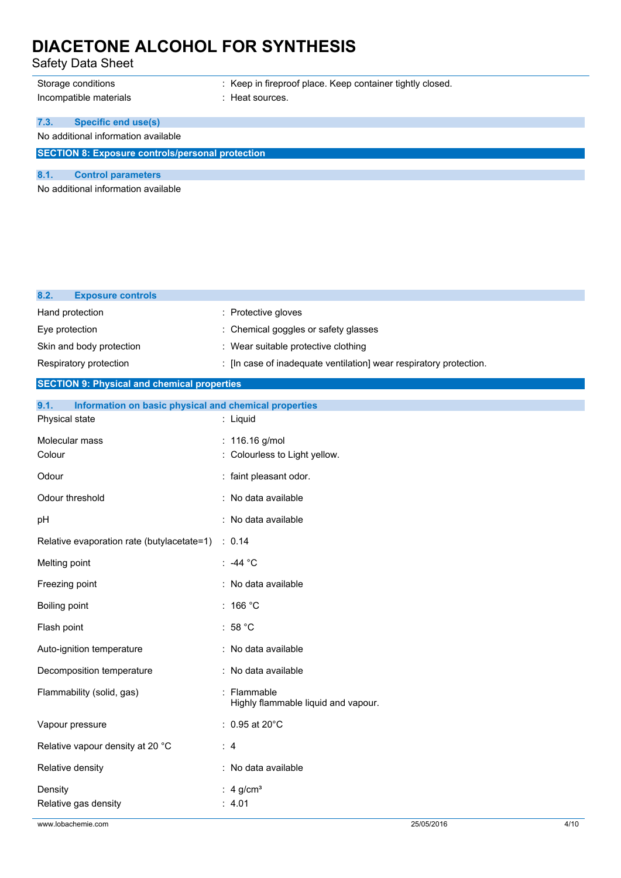Safety Data Sheet

Incompatible materials **incompatible materials** : Heat sources.

### **7.3. Specific end use(s)**

No additional information available

**SECTION 8: Exposure controls/personal protection**

### **8.1. Control parameters**

No additional information available

| <b>Exposure controls</b><br>8.2.                              |                                                                    |  |
|---------------------------------------------------------------|--------------------------------------------------------------------|--|
| Hand protection                                               | : Protective gloves                                                |  |
| Eye protection                                                | Chemical goggles or safety glasses                                 |  |
| Skin and body protection                                      | : Wear suitable protective clothing                                |  |
| Respiratory protection                                        | : [In case of inadequate ventilation] wear respiratory protection. |  |
| <b>SECTION 9: Physical and chemical properties</b>            |                                                                    |  |
| Information on basic physical and chemical properties<br>9.1. |                                                                    |  |
| Physical state                                                | : Liquid                                                           |  |
| Molecular mass                                                | 116.16 g/mol                                                       |  |
| Colour                                                        | Colourless to Light yellow.                                        |  |
| Odour                                                         | : faint pleasant odor.                                             |  |
| Odour threshold                                               | : No data available                                                |  |
| рH                                                            | : No data available                                                |  |
| Relative evaporation rate (butylacetate=1)                    | : 0.14                                                             |  |
| Melting point                                                 | ∶ -44 °C                                                           |  |
| Freezing point                                                | : No data available                                                |  |
| <b>Boiling point</b>                                          | :166 °C                                                            |  |
| Flash point                                                   | : $58 °C$                                                          |  |
| Auto-ignition temperature                                     | : No data available                                                |  |
| Decomposition temperature                                     | : No data available                                                |  |
| Flammability (solid, gas)                                     | Flammable<br>Highly flammable liquid and vapour.                   |  |
| Vapour pressure                                               | $: 0.95$ at 20 $^{\circ}$ C                                        |  |
| Relative vapour density at 20 °C<br>:4                        |                                                                    |  |
| Relative density<br>: No data available                       |                                                                    |  |
| Density                                                       | : $4$ g/cm <sup>3</sup>                                            |  |

Relative gas density **EXECUTE:** 4.01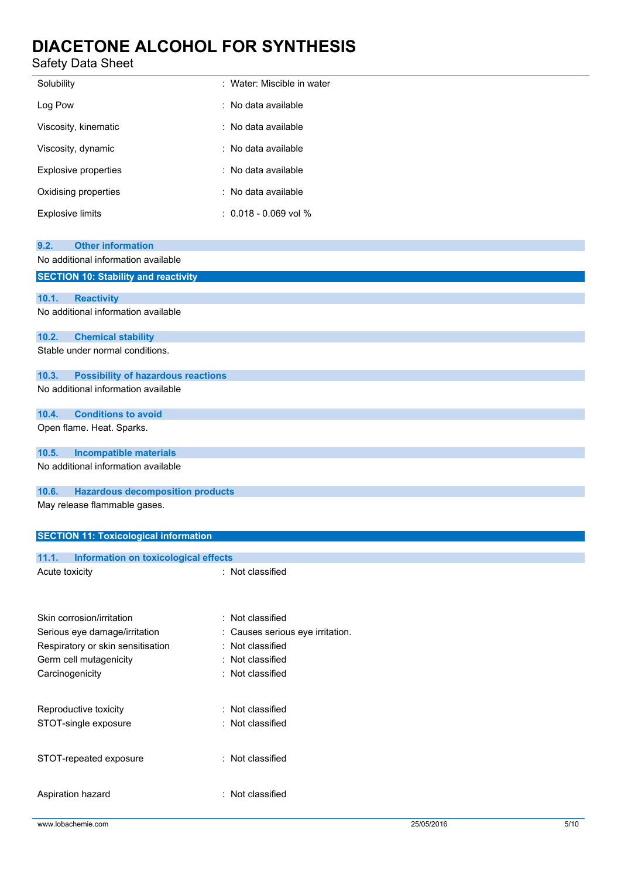## Safety Data Sheet

| Solubility                                                                                | : Water: Miscible in water     |  |  |  |
|-------------------------------------------------------------------------------------------|--------------------------------|--|--|--|
| Log Pow                                                                                   | No data available              |  |  |  |
| Viscosity, kinematic                                                                      | : No data available            |  |  |  |
| Viscosity, dynamic                                                                        | No data available              |  |  |  |
| <b>Explosive properties</b>                                                               | : No data available            |  |  |  |
| Oxidising properties                                                                      | No data available              |  |  |  |
| <b>Explosive limits</b>                                                                   | $: 0.018 - 0.069$ vol %        |  |  |  |
| <b>Other information</b><br>9.2.                                                          |                                |  |  |  |
| No additional information available<br><b>SECTION 10: Stability and reactivity</b>        |                                |  |  |  |
|                                                                                           |                                |  |  |  |
| 10.1.<br><b>Reactivity</b><br>No additional information available                         |                                |  |  |  |
|                                                                                           |                                |  |  |  |
| 10.2.<br><b>Chemical stability</b><br>Stable under normal conditions.                     |                                |  |  |  |
|                                                                                           |                                |  |  |  |
| 10.3.<br><b>Possibility of hazardous reactions</b><br>No additional information available |                                |  |  |  |
| <b>Conditions to avoid</b>                                                                |                                |  |  |  |
| 10.4.<br>Open flame. Heat. Sparks.                                                        |                                |  |  |  |
| <b>Incompatible materials</b><br>10.5.                                                    |                                |  |  |  |
| No additional information available                                                       |                                |  |  |  |
| 10.6.<br><b>Hazardous decomposition products</b>                                          |                                |  |  |  |
| May release flammable gases.                                                              |                                |  |  |  |
|                                                                                           |                                |  |  |  |
| <b>SECTION 11: Toxicological information</b>                                              |                                |  |  |  |
| 11.1.<br>Information on toxicological effects                                             |                                |  |  |  |
| Acute toxicity                                                                            | : Not classified               |  |  |  |
|                                                                                           |                                |  |  |  |
| Skin corrosion/irritation                                                                 | : Not classified               |  |  |  |
| Serious eye damage/irritation                                                             | Causes serious eye irritation. |  |  |  |
| Respiratory or skin sensitisation                                                         | Not classified                 |  |  |  |
| Germ cell mutagenicity                                                                    | : Not classified               |  |  |  |
| Carcinogenicity                                                                           | Not classified<br>÷            |  |  |  |
| Reproductive toxicity<br>: Not classified                                                 |                                |  |  |  |
| STOT-single exposure<br>Not classified<br>÷                                               |                                |  |  |  |
|                                                                                           |                                |  |  |  |
| STOT-repeated exposure                                                                    | : Not classified               |  |  |  |
| Aspiration hazard                                                                         | : Not classified               |  |  |  |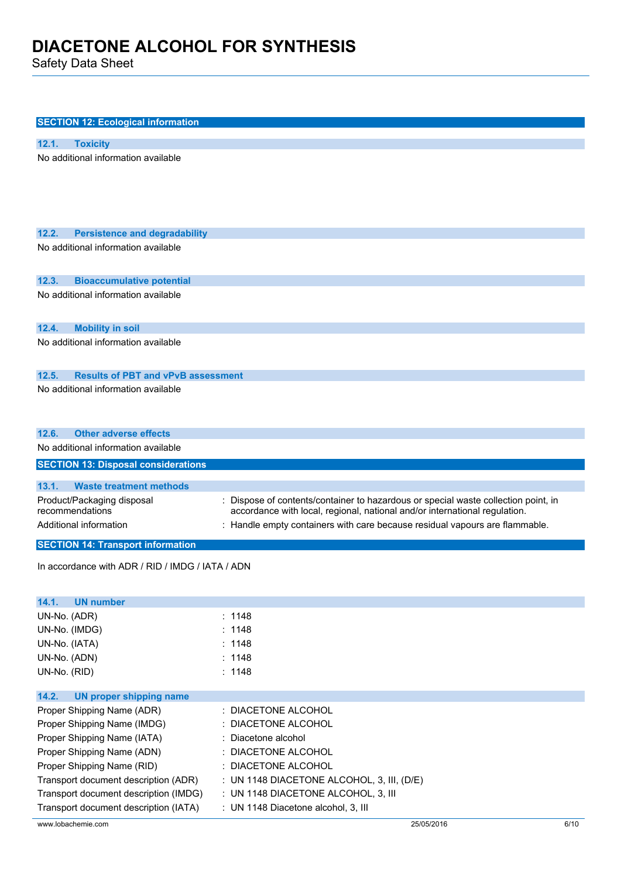Safety Data Sheet

| <b>SECTION 12: Ecological information</b>          |                                                                                  |
|----------------------------------------------------|----------------------------------------------------------------------------------|
|                                                    |                                                                                  |
| 12.1.<br><b>Toxicity</b>                           |                                                                                  |
| No additional information available                |                                                                                  |
|                                                    |                                                                                  |
| 12.2.<br><b>Persistence and degradability</b>      |                                                                                  |
| No additional information available                |                                                                                  |
| 12.3.<br><b>Bioaccumulative potential</b>          |                                                                                  |
| No additional information available                |                                                                                  |
| 12.4.<br><b>Mobility in soil</b>                   |                                                                                  |
| No additional information available                |                                                                                  |
| <b>Results of PBT and vPvB assessment</b><br>12.5. |                                                                                  |
| No additional information available                |                                                                                  |
|                                                    |                                                                                  |
| <b>Other adverse effects</b><br>12.6.              |                                                                                  |
| No additional information available                |                                                                                  |
| <b>SECTION 13: Disposal considerations</b>         |                                                                                  |
| 13.1.<br><b>Waste treatment methods</b>            |                                                                                  |
| Product/Packaging disposal                         | Dispose of contents/container to hazardous or special waste collection point, in |
| recommendations                                    | accordance with local, regional, national and/or international regulation.       |
| Additional information                             | : Handle empty containers with care because residual vapours are flammable.      |
| <b>SECTION 14: Transport information</b>           |                                                                                  |
| In accordance with ADR / RID / IMDG / IATA / ADN   |                                                                                  |
|                                                    |                                                                                  |
| 14.1.<br><b>UN number</b>                          |                                                                                  |
| UN-No. (ADR)                                       | : 1148                                                                           |
| UN-No. (IMDG)                                      | 1148                                                                             |
| UN-No. (IATA)                                      | : 1148                                                                           |
| UN-No. (ADN)                                       | : 1148                                                                           |
| UN-No. (RID)                                       | : 1148                                                                           |
| 14.2.<br><b>UN proper shipping name</b>            |                                                                                  |
| Proper Shipping Name (ADR)                         | DIACETONE ALCOHOL<br>٠                                                           |
| Proper Shipping Name (IMDG)                        | DIACETONE ALCOHOL                                                                |
| Proper Shipping Name (IATA)                        | Diacetone alcohol                                                                |
| Proper Shipping Name (ADN)                         | DIACETONE ALCOHOL                                                                |
| Proper Shipping Name (RID)                         | : DIACETONE ALCOHOL                                                              |
| Transport document description (ADR)               | : UN 1148 DIACETONE ALCOHOL, 3, III, (D/E)                                       |

www.lobachemie.com 6/10

Transport document description (IMDG) : UN 1148 DIACETONE ALCOHOL, 3, III Transport document description (IATA) : UN 1148 Diacetone alcohol, 3, III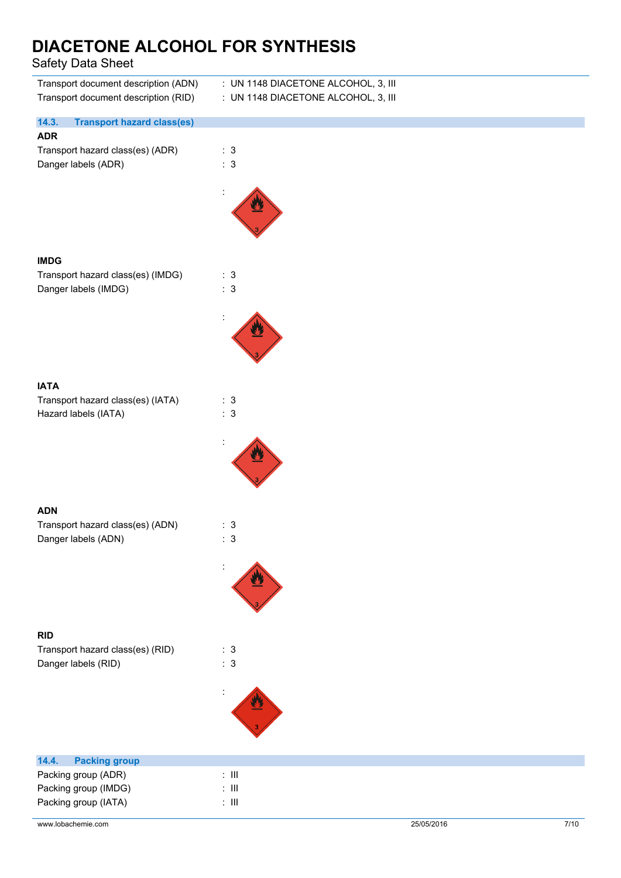Safety Data Sheet

| Transport document description (ADN)<br>Transport document description (RID) | : UN 1148 DIACETONE ALCOHOL, 3, III<br>: UN 1148 DIACETONE ALCOHOL, 3, III |
|------------------------------------------------------------------------------|----------------------------------------------------------------------------|
| 14.3.<br><b>Transport hazard class(es)</b>                                   |                                                                            |
| <b>ADR</b><br>Transport hazard class(es) (ADR)<br>Danger labels (ADR)        | : 3<br>: 3                                                                 |
|                                                                              |                                                                            |
| <b>IMDG</b><br>Transport hazard class(es) (IMDG)<br>Danger labels (IMDG)     | : 3<br>: 3                                                                 |
|                                                                              |                                                                            |
| <b>IATA</b><br>Transport hazard class(es) (IATA)<br>Hazard labels (IATA)     | : 3<br>: 3                                                                 |
|                                                                              |                                                                            |
| <b>ADN</b>                                                                   |                                                                            |
| Transport hazard class(es) (ADN)<br>Danger labels (ADN)                      | : 3<br>: 3                                                                 |
|                                                                              |                                                                            |
| <b>RID</b>                                                                   |                                                                            |
| Transport hazard class(es) (RID)<br>Danger labels (RID)                      | : 3<br>: 3                                                                 |
|                                                                              |                                                                            |
| 14.4.<br><b>Packing group</b>                                                |                                                                            |
| Packing group (ADR)<br>Packing group (IMDG)                                  | $\colon$ III<br>$\colon$ III                                               |
| Packing group (IATA)                                                         | $\colon$ III                                                               |

www.lobachemie.com 25/05/2016 25/05/2016 7/10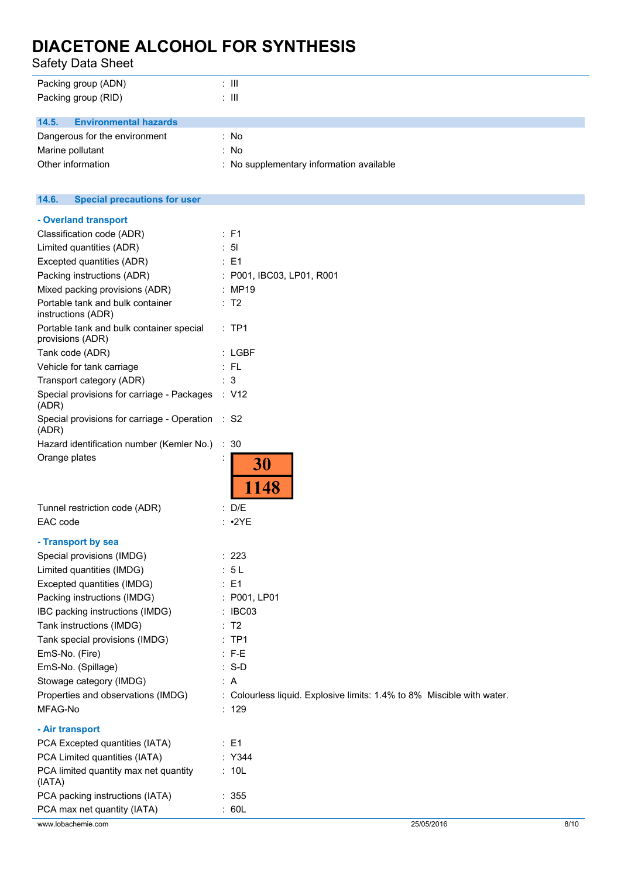Safety Data Sheet

| : III                                    |
|------------------------------------------|
| : III                                    |
|                                          |
|                                          |
| : No                                     |
| : No                                     |
| : No supplementary information available |
|                                          |

### **14.6. Special precautions for user**

| - Overland transport                                         |                                                                        |
|--------------------------------------------------------------|------------------------------------------------------------------------|
| Classification code (ADR)                                    | : F1                                                                   |
| Limited quantities (ADR)                                     | : 51                                                                   |
| Excepted quantities (ADR)                                    | : E1                                                                   |
| Packing instructions (ADR)                                   | : P001, IBC03, LP01, R001                                              |
| Mixed packing provisions (ADR)                               | : MP19                                                                 |
| Portable tank and bulk container<br>instructions (ADR)       | : T2                                                                   |
| Portable tank and bulk container special<br>provisions (ADR) | $:$ TP1                                                                |
| Tank code (ADR)                                              | : LGBF                                                                 |
| Vehicle for tank carriage                                    | :FL                                                                    |
| Transport category (ADR)                                     | : 3                                                                    |
| Special provisions for carriage - Packages : V12<br>(ADR)    |                                                                        |
| Special provisions for carriage - Operation : S2<br>(ADR)    |                                                                        |
| Hazard identification number (Kemler No.) : 30               |                                                                        |
| Orange plates                                                | 30<br>1148                                                             |
| Tunnel restriction code (ADR)                                | : D/E                                                                  |
| EAC code                                                     | $: \cdot2YE$                                                           |
| - Transport by sea                                           |                                                                        |
| Special provisions (IMDG)                                    | : 223                                                                  |
| Limited quantities (IMDG)                                    | : 5L                                                                   |
| Excepted quantities (IMDG)                                   | $\therefore$ E1                                                        |
| Packing instructions (IMDG)                                  | : P001, LP01                                                           |
| IBC packing instructions (IMDG)                              | : IBC03                                                                |
| Tank instructions (IMDG)                                     | : T2                                                                   |
| Tank special provisions (IMDG)                               | $:$ TP1                                                                |
| EmS-No. (Fire)                                               | $:$ F-E                                                                |
| EmS-No. (Spillage)                                           | $: S-D$                                                                |
| Stowage category (IMDG)                                      | : A                                                                    |
| Properties and observations (IMDG)                           | : Colourless liquid. Explosive limits: 1.4% to 8% Miscible with water. |
| MFAG-No                                                      | : 129                                                                  |
| - Air transport                                              |                                                                        |
| PCA Excepted quantities (IATA)                               | : E1                                                                   |
| PCA Limited quantities (IATA)                                | : Y344                                                                 |
| PCA limited quantity max net quantity<br>(IATA)              | : 10L                                                                  |
| PCA packing instructions (IATA)                              | : 355                                                                  |
| PCA max net quantity (IATA)                                  | : 60L                                                                  |
|                                                              |                                                                        |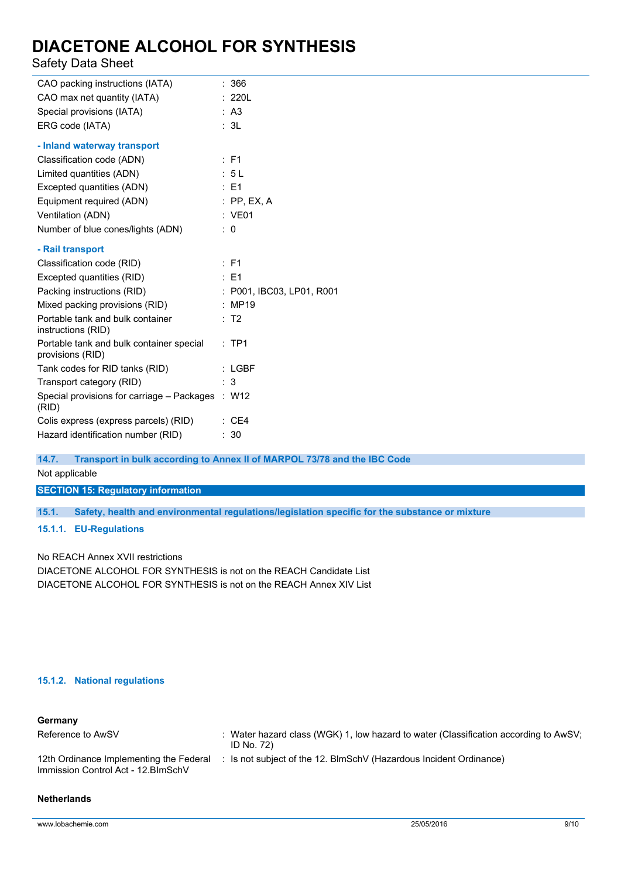### Safety Data Sheet

| CAO packing instructions (IATA)                              | : 366                     |
|--------------------------------------------------------------|---------------------------|
| CAO max net quantity (IATA)                                  | : 220L                    |
| Special provisions (IATA)                                    | : A3                      |
| ERG code (IATA)                                              | : 3L                      |
| - Inland waterway transport                                  |                           |
| Classification code (ADN)                                    | $E$ F1                    |
| Limited quantities (ADN)                                     | : 5L                      |
| Excepted quantities (ADN)                                    | $\therefore$ E1           |
| Equipment required (ADN)                                     | $:$ PP, EX, A             |
| Ventilation (ADN)                                            | : VE01                    |
| Number of blue cones/lights (ADN)                            | $\colon 0$                |
| - Rail transport                                             |                           |
| Classification code (RID)                                    | $E$ F1                    |
| Excepted quantities (RID)                                    | $\therefore$ E1           |
| Packing instructions (RID)                                   | : P001, IBC03, LP01, R001 |
| Mixed packing provisions (RID)                               | : MP19                    |
| Portable tank and bulk container<br>instructions (RID)       | : T2                      |
| Portable tank and bulk container special<br>provisions (RID) | :TP1                      |
| Tank codes for RID tanks (RID)                               | $:$ LGBF                  |
| Transport category (RID)                                     | : 3                       |
| Special provisions for carriage - Packages : W12<br>(RID)    |                           |
| Colis express (express parcels) (RID)                        | $\therefore$ CE4          |
| Hazard identification number (RID)                           | : 30                      |
|                                                              |                           |

**14.7. Transport in bulk according to Annex II of MARPOL 73/78 and the IBC Code**

Not applicable

**SECTION 15: Regulatory information**

**15.1. Safety, health and environmental regulations/legislation specific for the substance or mixture**

**15.1.1. EU-Regulations**

No REACH Annex XVII restrictions

DIACETONE ALCOHOL FOR SYNTHESIS is not on the REACH Candidate List DIACETONE ALCOHOL FOR SYNTHESIS is not on the REACH Annex XIV List

### **15.1.2. National regulations**

| Germany                                                                       |                                                                                                    |
|-------------------------------------------------------------------------------|----------------------------------------------------------------------------------------------------|
| Reference to AwSV                                                             | : Water hazard class (WGK) 1, low hazard to water (Classification according to AwSV;<br>ID No. 72) |
| 12th Ordinance Implementing the Federal<br>Immission Control Act - 12.BImSchV | : Is not subject of the 12. BlmSchV (Hazardous Incident Ordinance)                                 |

#### **Netherlands**